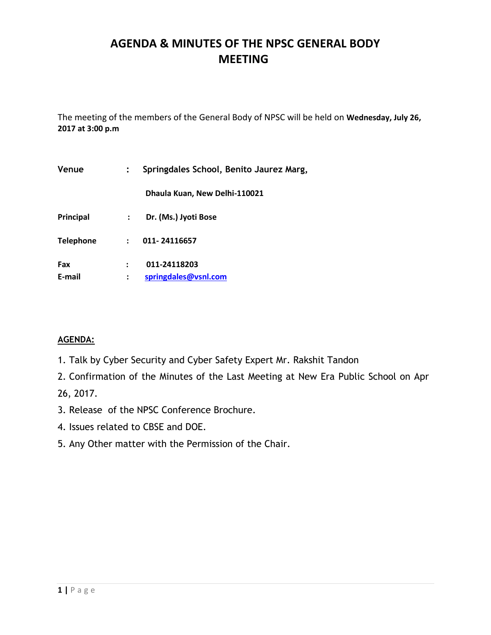# **AGENDA & MINUTES OF THE NPSC GENERAL BODY MEETING**

The meeting of the members of the General Body of NPSC will be held on **Wednesday, July 26, 2017 at 3:00 p.m**

| Venue            |                      | Springdales School, Benito Jaurez Marg, |
|------------------|----------------------|-----------------------------------------|
|                  |                      | Dhaula Kuan, New Delhi-110021           |
| Principal        | $\ddot{\phantom{0}}$ | Dr. (Ms.) Jyoti Bose                    |
| <b>Telephone</b> | $\ddot{\phantom{a}}$ | 011-24116657                            |
| Fax<br>E-mail    |                      | 011-24118203<br>springdales@vsnl.com    |

### **AGENDA:**

- 1. Talk by Cyber Security and Cyber Safety Expert Mr. Rakshit Tandon
- 2. Confirmation of the Minutes of the Last Meeting at New Era Public School on Apr 26, 2017.
- 3. Release of the NPSC Conference Brochure.
- 4. Issues related to CBSE and DOE.
- 5. Any Other matter with the Permission of the Chair.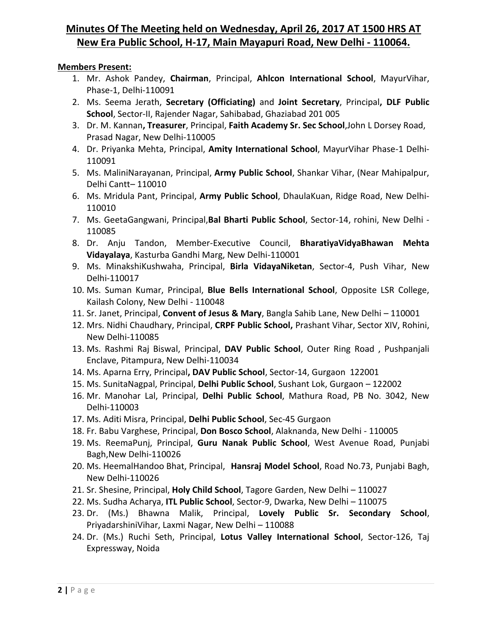# **Minutes Of The Meeting held on Wednesday, April 26, 2017 AT 1500 HRS AT New Era Public School, H-17, Main Mayapuri Road, New Delhi - 110064.**

#### **Members Present:**

- 1. Mr. Ashok Pandey, **Chairman**, Principal, **Ahlcon International School**, MayurVihar, Phase-1, Delhi-110091
- 2. Ms. Seema Jerath, **Secretary (Officiating)** and **Joint Secretary**, Principal**, DLF Public School**, Sector-II, Rajender Nagar, Sahibabad, Ghaziabad 201 005
- 3. Dr. M. Kannan**, Treasurer**, Principal, **Faith Academy Sr. Sec School**,John L Dorsey Road, Prasad Nagar, New Delhi-110005
- 4. Dr. Priyanka Mehta, Principal, **Amity International School**, MayurVihar Phase-1 Delhi-110091
- 5. Ms. MaliniNarayanan, Principal, **Army Public School**, Shankar Vihar, (Near Mahipalpur, Delhi Cantt– 110010
- 6. Ms. Mridula Pant, Principal, **Army Public School**, DhaulaKuan, Ridge Road, New Delhi-110010
- 7. Ms. GeetaGangwani, Principal,**Bal Bharti Public School**, Sector-14, rohini, New Delhi 110085
- 8. Dr. Anju Tandon, Member-Executive Council, **BharatiyaVidyaBhawan Mehta Vidayalaya**, Kasturba Gandhi Marg, New Delhi-110001
- 9. Ms. MinakshiKushwaha, Principal, **Birla VidayaNiketan**, Sector-4, Push Vihar, New Delhi-110017
- 10. Ms. Suman Kumar, Principal, **Blue Bells International School**, Opposite LSR College, Kailash Colony, New Delhi - 110048
- 11. Sr. Janet, Principal, **Convent of Jesus & Mary**, Bangla Sahib Lane, New Delhi 110001
- 12. Mrs. Nidhi Chaudhary, Principal, **CRPF Public School,** Prashant Vihar, Sector XIV, Rohini, New Delhi-110085
- 13. Ms. Rashmi Raj Biswal, Principal, **DAV Public School**, Outer Ring Road , Pushpanjali Enclave, Pitampura, New Delhi-110034
- 14. Ms. Aparna Erry, Principal**, DAV Public School**, Sector-14, Gurgaon 122001
- 15. Ms. SunitaNagpal, Principal, **Delhi Public School**, Sushant Lok, Gurgaon 122002
- 16. Mr. Manohar Lal, Principal, **Delhi Public School**, Mathura Road, PB No. 3042, New Delhi-110003
- 17. Ms. Aditi Misra, Principal, **Delhi Public School**, Sec-45 Gurgaon
- 18. Fr. Babu Varghese, Principal, **Don Bosco School**, Alaknanda, New Delhi 110005
- 19. Ms. ReemaPunj, Principal, **Guru Nanak Public School**, West Avenue Road, Punjabi Bagh,New Delhi-110026
- 20. Ms. HeemalHandoo Bhat, Principal, **Hansraj Model School**, Road No.73, Punjabi Bagh, New Delhi-110026
- 21. Sr. Shesine, Principal, **Holy Child School**, Tagore Garden, New Delhi 110027
- 22. Ms. Sudha Acharya, **ITL Public School**, Sector-9, Dwarka, New Delhi 110075
- 23. Dr. (Ms.) Bhawna Malik, Principal, **Lovely Public Sr. Secondary School**, PriyadarshiniVihar, Laxmi Nagar, New Delhi – 110088
- 24. Dr. (Ms.) Ruchi Seth, Principal, **Lotus Valley International School**, Sector-126, Taj Expressway, Noida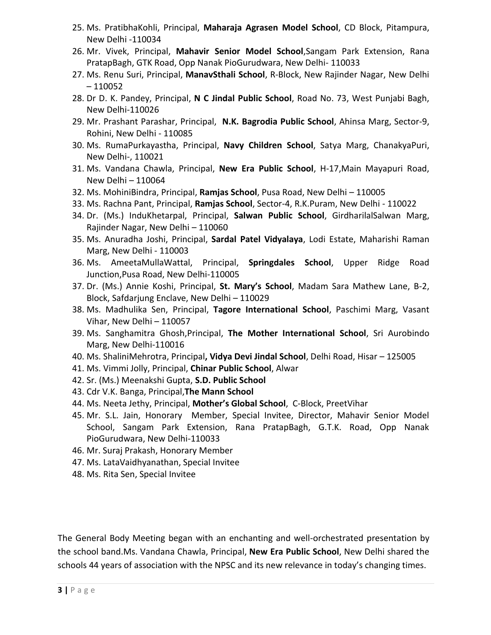- 25. Ms. PratibhaKohli, Principal, **Maharaja Agrasen Model School**, CD Block, Pitampura, New Delhi -110034
- 26. Mr. Vivek, Principal, **Mahavir Senior Model School**,Sangam Park Extension, Rana PratapBagh, GTK Road, Opp Nanak PioGurudwara, New Delhi- 110033
- 27. Ms. Renu Suri, Principal, **ManavSthali School**, R-Block, New Rajinder Nagar, New Delhi – 110052
- 28. Dr D. K. Pandey, Principal, **N C Jindal Public School**, Road No. 73, West Punjabi Bagh, New Delhi-110026
- 29. Mr. Prashant Parashar, Principal, **N.K. Bagrodia Public School**, Ahinsa Marg, Sector-9, Rohini, New Delhi - 110085
- 30. Ms. RumaPurkayastha, Principal, **Navy Children School**, Satya Marg, ChanakyaPuri, New Delhi-, 110021
- 31. Ms. Vandana Chawla, Principal, **New Era Public School**, H-17,Main Mayapuri Road, New Delhi – 110064
- 32. Ms. MohiniBindra, Principal, **Ramjas School**, Pusa Road, New Delhi 110005
- 33. Ms. Rachna Pant, Principal, **Ramjas School**, Sector-4, R.K.Puram, New Delhi 110022
- 34. Dr. (Ms.) InduKhetarpal, Principal, **Salwan Public School**, GirdharilalSalwan Marg, Rajinder Nagar, New Delhi – 110060
- 35. Ms. Anuradha Joshi, Principal, **Sardal Patel Vidyalaya**, Lodi Estate, Maharishi Raman Marg, New Delhi - 110003
- 36. Ms. AmeetaMullaWattal, Principal, **Springdales School**, Upper Ridge Road Junction,Pusa Road, New Delhi-110005
- 37. Dr. (Ms.) Annie Koshi, Principal, **St. Mary's School**, Madam Sara Mathew Lane, B-2, Block, Safdarjung Enclave, New Delhi – 110029
- 38. Ms. Madhulika Sen, Principal, **Tagore International School**, Paschimi Marg, Vasant Vihar, New Delhi – 110057
- 39. Ms. Sanghamitra Ghosh,Principal, **The Mother International School**, Sri Aurobindo Marg, New Delhi-110016
- 40. Ms. ShaliniMehrotra, Principal**, Vidya Devi Jindal School**, Delhi Road, Hisar 125005
- 41. Ms. Vimmi Jolly, Principal, **Chinar Public School**, Alwar
- 42. Sr. (Ms.) Meenakshi Gupta, **S.D. Public School**
- 43. Cdr V.K. Banga, Principal,**The Mann School**
- 44. Ms. Neeta Jethy, Principal, **Mother's Global School**, C-Block, PreetVihar
- 45. Mr. S.L. Jain, Honorary Member, Special Invitee, Director, Mahavir Senior Model School, Sangam Park Extension, Rana PratapBagh, G.T.K. Road, Opp Nanak PioGurudwara, New Delhi-110033
- 46. Mr. Suraj Prakash, Honorary Member
- 47. Ms. LataVaidhyanathan, Special Invitee
- 48. Ms. Rita Sen, Special Invitee

The General Body Meeting began with an enchanting and well-orchestrated presentation by the school band.Ms. Vandana Chawla, Principal, **New Era Public School**, New Delhi shared the schools 44 years of association with the NPSC and its new relevance in today's changing times.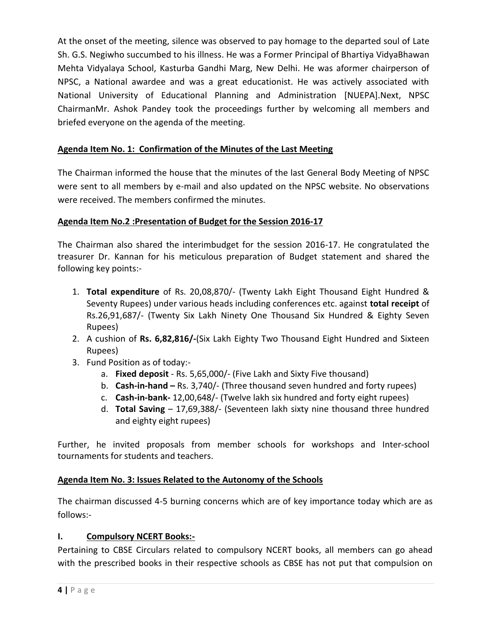At the onset of the meeting, silence was observed to pay homage to the departed soul of Late Sh. G.S. Negiwho succumbed to his illness. He was a Former Principal of Bhartiya VidyaBhawan Mehta Vidyalaya School, Kasturba Gandhi Marg, New Delhi. He was aformer chairperson of NPSC, a National awardee and was a great educationist. He was actively associated with National University of Educational Planning and Administration [NUEPA].Next, NPSC ChairmanMr. Ashok Pandey took the proceedings further by welcoming all members and briefed everyone on the agenda of the meeting.

### **Agenda Item No. 1: Confirmation of the Minutes of the Last Meeting**

The Chairman informed the house that the minutes of the last General Body Meeting of NPSC were sent to all members by e-mail and also updated on the NPSC website. No observations were received. The members confirmed the minutes.

### **Agenda Item No.2 :Presentation of Budget for the Session 2016-17**

The Chairman also shared the interimbudget for the session 2016-17. He congratulated the treasurer Dr. Kannan for his meticulous preparation of Budget statement and shared the following key points:-

- 1. **Total expenditure** of Rs. 20,08,870/- (Twenty Lakh Eight Thousand Eight Hundred & Seventy Rupees) under various heads including conferences etc. against **total receipt** of Rs.26,91,687/- (Twenty Six Lakh Ninety One Thousand Six Hundred & Eighty Seven Rupees)
- 2. A cushion of **Rs. 6,82,816/-**(Six Lakh Eighty Two Thousand Eight Hundred and Sixteen Rupees)
- 3. Fund Position as of today:
	- a. **Fixed deposit** Rs. 5,65,000/- (Five Lakh and Sixty Five thousand)
	- b. **Cash-in-hand –** Rs. 3,740/- (Three thousand seven hundred and forty rupees)
	- c. **Cash-in-bank-** 12,00,648/- (Twelve lakh six hundred and forty eight rupees)
	- d. **Total Saving** 17,69,388/- (Seventeen lakh sixty nine thousand three hundred and eighty eight rupees)

Further, he invited proposals from member schools for workshops and Inter-school tournaments for students and teachers.

### **Agenda Item No. 3: Issues Related to the Autonomy of the Schools**

The chairman discussed 4-5 burning concerns which are of key importance today which are as follows:-

### **I. Compulsory NCERT Books:-**

Pertaining to CBSE Circulars related to compulsory NCERT books, all members can go ahead with the prescribed books in their respective schools as CBSE has not put that compulsion on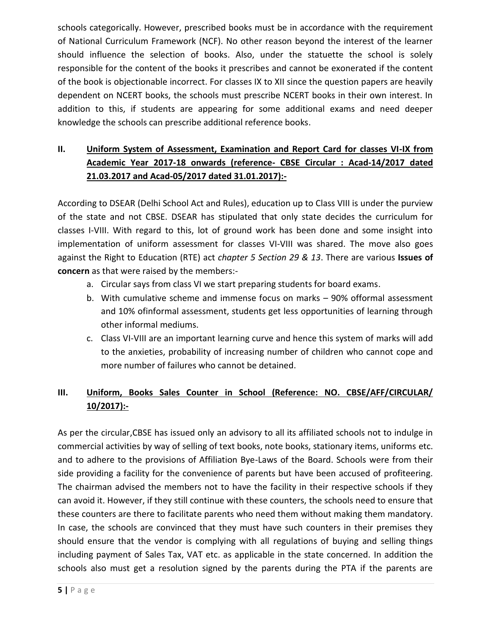schools categorically. However, prescribed books must be in accordance with the requirement of National Curriculum Framework (NCF). No other reason beyond the interest of the learner should influence the selection of books. Also, under the statuette the school is solely responsible for the content of the books it prescribes and cannot be exonerated if the content of the book is objectionable incorrect. For classes IX to XII since the question papers are heavily dependent on NCERT books, the schools must prescribe NCERT books in their own interest. In addition to this, if students are appearing for some additional exams and need deeper knowledge the schools can prescribe additional reference books.

# **II. Uniform System of Assessment, Examination and Report Card for classes VI-IX from Academic Year 2017-18 onwards (reference- CBSE Circular : Acad-14/2017 dated 21.03.2017 and Acad-05/2017 dated 31.01.2017):-**

According to DSEAR (Delhi School Act and Rules), education up to Class VIII is under the purview of the state and not CBSE. DSEAR has stipulated that only state decides the curriculum for classes I-VIII. With regard to this, lot of ground work has been done and some insight into implementation of uniform assessment for classes VI-VIII was shared. The move also goes against the Right to Education (RTE) act *chapter 5 Section 29 & 13*. There are various **Issues of concern** as that were raised by the members:-

- a. Circular says from class VI we start preparing students for board exams.
- b. With cumulative scheme and immense focus on marks 90% offormal assessment and 10% ofinformal assessment, students get less opportunities of learning through other informal mediums.
- c. Class VI-VIII are an important learning curve and hence this system of marks will add to the anxieties, probability of increasing number of children who cannot cope and more number of failures who cannot be detained.

# **III. Uniform, Books Sales Counter in School (Reference: NO. CBSE/AFF/CIRCULAR/ 10/2017):-**

As per the circular,CBSE has issued only an advisory to all its affiliated schools not to indulge in commercial activities by way of selling of text books, note books, stationary items, uniforms etc. and to adhere to the provisions of Affiliation Bye-Laws of the Board. Schools were from their side providing a facility for the convenience of parents but have been accused of profiteering. The chairman advised the members not to have the facility in their respective schools if they can avoid it. However, if they still continue with these counters, the schools need to ensure that these counters are there to facilitate parents who need them without making them mandatory. In case, the schools are convinced that they must have such counters in their premises they should ensure that the vendor is complying with all regulations of buying and selling things including payment of Sales Tax, VAT etc. as applicable in the state concerned. In addition the schools also must get a resolution signed by the parents during the PTA if the parents are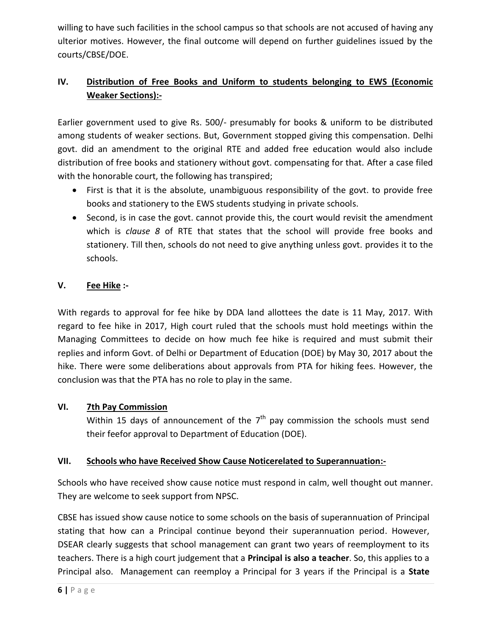willing to have such facilities in the school campus so that schools are not accused of having any ulterior motives. However, the final outcome will depend on further guidelines issued by the courts/CBSE/DOE.

# **IV. Distribution of Free Books and Uniform to students belonging to EWS (Economic Weaker Sections):-**

Earlier government used to give Rs. 500/- presumably for books & uniform to be distributed among students of weaker sections. But, Government stopped giving this compensation. Delhi govt. did an amendment to the original RTE and added free education would also include distribution of free books and stationery without govt. compensating for that. After a case filed with the honorable court, the following has transpired;

- First is that it is the absolute, unambiguous responsibility of the govt. to provide free books and stationery to the EWS students studying in private schools.
- Second, is in case the govt. cannot provide this, the court would revisit the amendment which is *clause 8* of RTE that states that the school will provide free books and stationery. Till then, schools do not need to give anything unless govt. provides it to the schools.

### **V. Fee Hike :-**

With regards to approval for fee hike by DDA land allottees the date is 11 May, 2017. With regard to fee hike in 2017, High court ruled that the schools must hold meetings within the Managing Committees to decide on how much fee hike is required and must submit their replies and inform Govt. of Delhi or Department of Education (DOE) by May 30, 2017 about the hike. There were some deliberations about approvals from PTA for hiking fees. However, the conclusion was that the PTA has no role to play in the same.

## **VI. 7th Pay Commission**

Within 15 days of announcement of the  $7<sup>th</sup>$  pay commission the schools must send their feefor approval to Department of Education (DOE).

### **VII. Schools who have Received Show Cause Noticerelated to Superannuation:-**

Schools who have received show cause notice must respond in calm, well thought out manner. They are welcome to seek support from NPSC.

CBSE has issued show cause notice to some schools on the basis of superannuation of Principal stating that how can a Principal continue beyond their superannuation period. However, DSEAR clearly suggests that school management can grant two years of reemployment to its teachers. There is a high court judgement that a **Principal is also a teacher**. So, this applies to a Principal also. Management can reemploy a Principal for 3 years if the Principal is a **State**